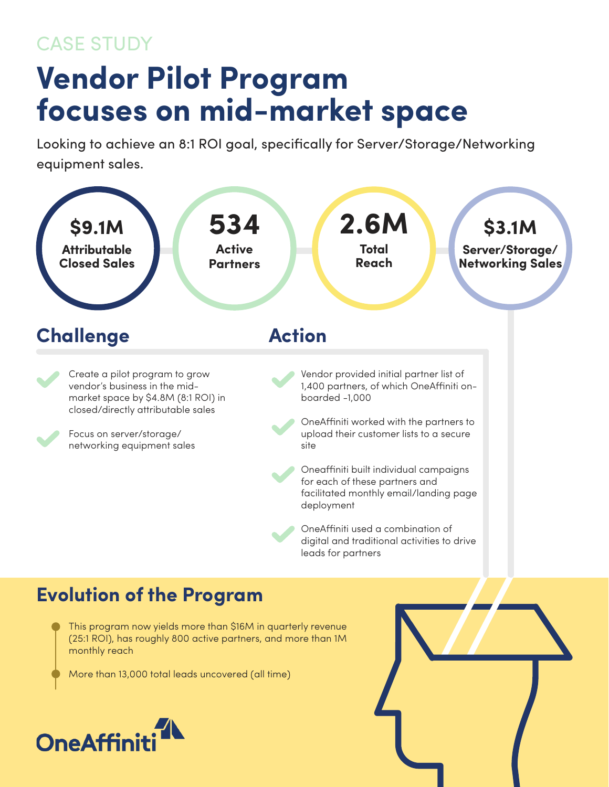## CASE STUDY

## **Vendor Pilot Program focuses on mid-market space**

Looking to achieve an 8:1 ROI goal, specifically for Server/Storage/Networking equipment sales.



This program now yields more than \$16M in quarterly revenue (25:1 ROI), has roughly 800 active partners, and more than 1M monthly reach

More than 13,000 total leads uncovered (all time)